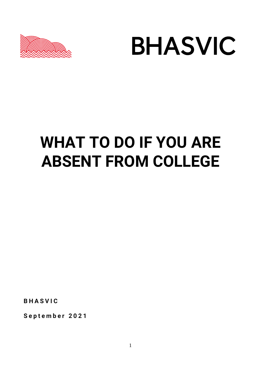



# **WHAT TO DO IF YOU ARE ABSENT FROM COLLEGE**

**B H A S V I C**

**S e p t e m b e r 2 0 2 1**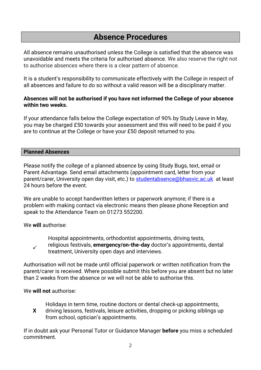# **Absence Procedures**

All absence remains unauthorised unless the College is satisfied that the absence was unavoidable and meets the criteria for authorised absence. We also reserve the right not to authorise absences where there is a clear pattern of absence.

It is a student's responsibility to communicate effectively with the College in respect of all absences and failure to do so without a valid reason will be a disciplinary matter.

# **Absences will not be authorised if you have not informed the College of your absence within two weeks.**

If your attendance falls below the College expectation of 90% by Study Leave in May, you may be charged £50 towards your assessment and this will need to be paid if you are to continue at the College or have your £50 deposit returned to you.

### **Planned Absences**

Please notify the college of a planned absence by using Study Bugs, text, email or Parent Advantage. Send email attachments (appointment card, letter from your parent/carer, University open day visit, etc.) to [studentabsence@bhasvic.ac.uk](mailto:studentabsence@bhasvic.ac.uk) at least 24 hours before the event.

We are unable to accept handwritten letters or paperwork anymore; if there is a problem with making contact via electronic means then please phone Reception and speak to the Attendance Team on 01273 552200.

We **will** authorise:

 $\overline{\mathcal{L}}$ Hospital appointments, orthodontist appointments, driving tests, religious festivals, **emergency/on-the-day** doctor's appointments, dental treatment, University open days and interviews.

Authorisation will not be made until official paperwork or written notification from the parent/carer is received. Where possible submit this before you are absent but no later than 2 weeks from the absence or we will not be able to authorise this.

# We **will not** authorise:

Holidays in term time, routine doctors or dental check-up appointments,

**X** driving lessons, festivals, leisure activities, dropping or picking siblings up from school, optician's appointments.

If in doubt ask your Personal Tutor or Guidance Manager **before** you miss a scheduled commitment.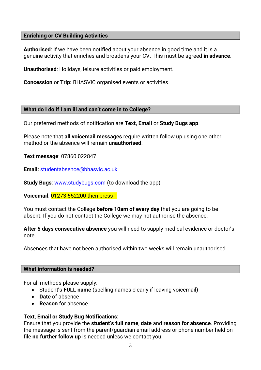# **Enriching or CV Building Activities**

**Authorised**: If we have been notified about your absence in good time and it is a genuine activity that enriches and broadens your CV. This must be agreed **in advance**.

**Unauthorised**: Holidays, leisure activities or paid employment.

**Concession** or **Trip:** BHASVIC organised events or activities.

### **What do I do if I am ill and can't come in to College?**

Our preferred methods of notification are **Text, Email** or **Study Bugs app**.

Please note that **all voicemail messages** require written follow up using one other method or the absence will remain **unauthorised**.

**Text message**: 07860 022847

**Email:** [studentabsence@bhasvic.ac.uk](mailto:studentabsence@bhasvic.ac.uk)

**Study Bugs**: [www.studybugs.com](http://www.studybugs.com/) (to download the app)

**Voicemail**: 01273 552200 then press 1

You must contact the College **before 10am of every day** that you are going to be absent. If you do not contact the College we may not authorise the absence.

**After 5 days consecutive absence** you will need to supply medical evidence or doctor's note.

Absences that have not been authorised within two weeks will remain unauthorised.

### **What information is needed?**

For all methods please supply:

- Student's **FULL name** (spelling names clearly if leaving voicemail)
- **Date** of absence
- **Reason** for absence

# **Text, Email or Study Bug Notifications:**

Ensure that you provide the **student's full name**, **date** and **reason for absence**. Providing the message is sent from the parent/guardian email address or phone number held on file **no further follow up** is needed unless we contact you.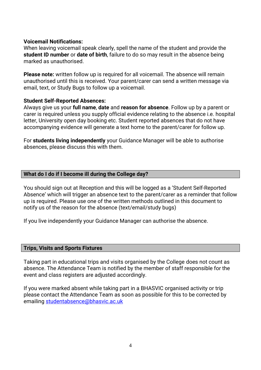### **Voicemail Notifications:**

When leaving voicemail speak clearly, spell the name of the student and provide the **student ID number** or **date of birth**, failure to do so may result in the absence being marked as unauthorised.

**Please note:** written follow up is required for all voicemail. The absence will remain unauthorised until this is received. Your parent/carer can send a written message via email, text, or Study Bugs to follow up a voicemail.

#### **Student Self-Reported Absences:**

Always give us your **full name**, **date** and **reason for absence**. Follow up by a parent or carer is required unless you supply official evidence relating to the absence i.e. hospital letter, University open day booking etc. Student reported absences that do not have accompanying evidence will generate a text home to the parent/carer for follow up.

For **students living independently** your Guidance Manager will be able to authorise absences, please discuss this with them.

### **What do I do if I become ill during the College day?**

You should sign out at Reception and this will be logged as a 'Student Self-Reported Absence' which will trigger an absence text to the parent/carer as a reminder that follow up is required. Please use one of the written methods outlined in this document to notify us of the reason for the absence (text/email/study bugs)

If you live independently your Guidance Manager can authorise the absence.

#### **Trips, Visits and Sports Fixtures**

Taking part in educational trips and visits organised by the College does not count as absence. The Attendance Team is notified by the member of staff responsible for the event and class registers are adjusted accordingly.

If you were marked absent while taking part in a BHASVIC organised activity or trip please contact the Attendance Team as soon as possible for this to be corrected by emailing [studentabsence@bhasvic.ac.uk](mailto:studentabsence@bhasvic.ac.uk)